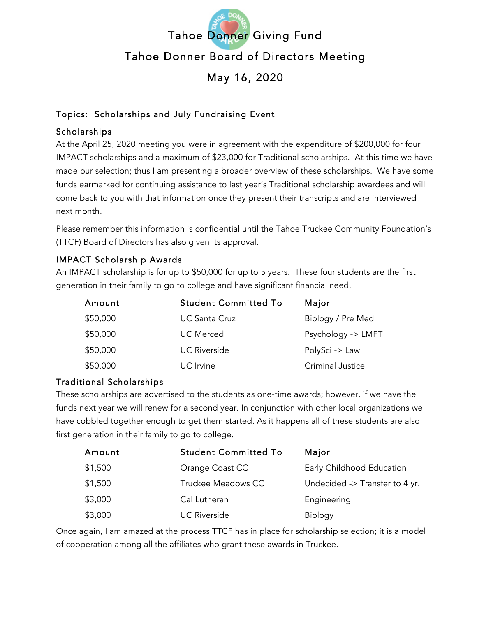

# Topics: Scholarships and July Fundraising Event

# Scholarships

At the April 25, 2020 meeting you were in agreement with the expenditure of \$200,000 for four IMPACT scholarships and a maximum of \$23,000 for Traditional scholarships. At this time we have made our selection; thus I am presenting a broader overview of these scholarships. We have some funds earmarked for continuing assistance to last year's Traditional scholarship awardees and will come back to you with that information once they present their transcripts and are interviewed next month.

Please remember this information is confidential until the Tahoe Truckee Community Foundation's (TTCF) Board of Directors has also given its approval.

# IMPACT Scholarship Awards

An IMPACT scholarship is for up to \$50,000 for up to 5 years. These four students are the first generation in their family to go to college and have significant financial need.

| Amount   | <b>Student Committed To</b> | Major              |
|----------|-----------------------------|--------------------|
| \$50,000 | <b>UC Santa Cruz</b>        | Biology / Pre Med  |
| \$50,000 | <b>UC</b> Merced            | Psychology -> LMFT |
| \$50,000 | <b>UC Riverside</b>         | PolySci -> Law     |
| \$50,000 | UC Irvine                   | Criminal Justice   |

# Traditional Scholarships

These scholarships are advertised to the students as one-time awards; however, if we have the funds next year we will renew for a second year. In conjunction with other local organizations we have cobbled together enough to get them started. As it happens all of these students are also first generation in their family to go to college.

| Amount  | <b>Student Committed To</b> | Major                          |
|---------|-----------------------------|--------------------------------|
| \$1,500 | Orange Coast CC             | Early Childhood Education      |
| \$1,500 | Truckee Meadows CC          | Undecided -> Transfer to 4 yr. |
| \$3,000 | Cal Lutheran                | Engineering                    |
| \$3,000 | <b>UC Riverside</b>         | <b>Biology</b>                 |

Once again, I am amazed at the process TTCF has in place for scholarship selection; it is a model of cooperation among all the affiliates who grant these awards in Truckee.